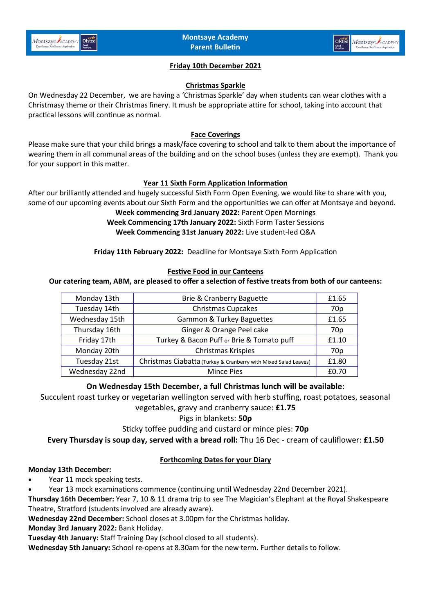



# **Friday 10th December 2021**

#### **Christmas Sparkle**

On Wednesday 22 December, we are having a 'Christmas Sparkle' day when students can wear clothes with a Christmasy theme or their Christmas finery. It mush be appropriate attire for school, taking into account that practical lessons will continue as normal.

## **Face Coverings**

Please make sure that your child brings a mask/face covering to school and talk to them about the importance of wearing them in all communal areas of the building and on the school buses (unless they are exempt). Thank you for your support in this matter.

#### **Year 11 Sixth Form Application Information**

After our brilliantly attended and hugely successful Sixth Form Open Evening, we would like to share with you, some of our upcoming events about our Sixth Form and the opportunities we can offer at Montsaye and beyond. **Week commencing 3rd January 2022:** Parent Open Mornings

**Week Commencing 17th January 2022:** Sixth Form Taster Sessions **Week Commencing 31st January 2022:** Live student-led Q&A

**Friday 11th February 2022:** Deadline for Montsaye Sixth Form Application

#### **Festive Food in our Canteens**

#### **Our catering team, ABM, are pleased to offer a selection of festive treats from both of our canteens:**

| Monday 13th    | Brie & Cranberry Baguette                                       | £1.65           |
|----------------|-----------------------------------------------------------------|-----------------|
| Tuesday 14th   | <b>Christmas Cupcakes</b>                                       | 70 <sub>p</sub> |
| Wednesday 15th | <b>Gammon &amp; Turkey Baguettes</b>                            | £1.65           |
| Thursday 16th  | Ginger & Orange Peel cake                                       | 70p             |
| Friday 17th    | Turkey & Bacon Puff or Brie & Tomato puff                       | £1.10           |
| Monday 20th    | <b>Christmas Krispies</b>                                       | 70 <sub>p</sub> |
| Tuesday 21st   | Christmas Ciabatta (Turkey & Cranberry with Mixed Salad Leaves) | £1.80           |
| Wednesday 22nd | <b>Mince Pies</b>                                               | £0.70           |

#### **On Wednesday 15th December, a full Christmas lunch will be available:**

Succulent roast turkey or vegetarian wellington served with herb stuffing, roast potatoes, seasonal vegetables, gravy and cranberry sauce: **£1.75**

#### Pigs in blankets: **50p**

Sticky toffee pudding and custard or mince pies: **70p**

**Every Thursday is soup day, served with a bread roll:** Thu 16 Dec - cream of cauliflower: **£1.50**

#### **Forthcoming Dates for your Diary**

#### **Monday 13th December:**

- Year 11 mock speaking tests.
- Year 13 mock examinations commence (continuing until Wednesday 22nd December 2021).

**Thursday 16th December:** Year 7, 10 & 11 drama trip to see The Magician's Elephant at the Royal Shakespeare Theatre, Stratford (students involved are already aware).

**Wednesday 22nd December:** School closes at 3.00pm for the Christmas holiday.

**Monday 3rd January 2022:** Bank Holiday.

**Tuesday 4th January:** Staff Training Day (school closed to all students).

**Wednesday 5th January:** School re-opens at 8.30am for the new term. Further details to follow.